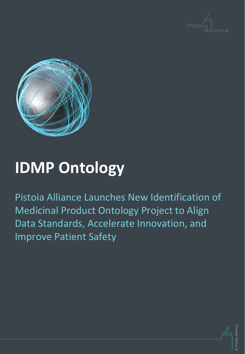



### **IDMP Ontology**

Pistoia Alliance Launches New Identification of Medicinal Product Ontology Project to Align Data Standards, Accelerate Innovation, and Improve Patient Safety

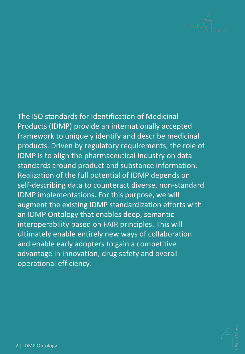

#### The ISO standards for Identification of Medicinal Products (IDMP) provide an internationally accepted framework to uniquely identify and describe medicinal products. Driven by regulatory requirements, the role of IDMP is to align the pharmaceutical industry on data standards around product and substance information. Realization of the full potential of IDMP depends on self-describing data to counteract diverse, non-standard IDMP implementations. For this purpose, we will augment the existing IDMP standardization efforts with an IDMP Ontology that enables deep, semantic interoperability based on FAIR principles. This will ultimately enable entirely new ways of collaboration and enable early adopters to gain a competitive advantage in innovation, drug safety and overall operational efficiency.

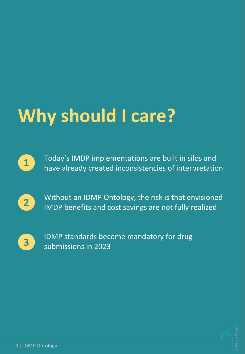# **Why should I care?**



Today's IMDP implementations are built in silos and have already created inconsistencies of interpretation



Without an IDMP Ontology, the risk is that envisioned IMDP benefits and cost savings are not fully realized



IDMP standards become mandatory for drug submissions in 2023

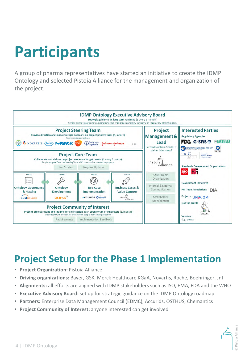## **Participants**

A group of pharma representatives have started an initiative to create the IDMP Ontology and selected Pistoia Alliance for the management and organization of the project.



### **Project Setup for the Phase 1 Implementation**

- **Project Organization:** Pistoia Alliance
- **Driving organizations:** Bayer, GSK, Merck Healthcare KGaA, Novartis, Roche, Boehringer, JnJ
- **Alignments:** all efforts are aligned with IDMP stakeholders such as ISO, EMA, FDA and the WHO
- **Executive Advisory Board:** set up for strategic guidance on the IDMP Ontology roadmap
- **Partners:** Enterprise Data Management Council (EDMC), Accurids, OSTHUS, Chemantics
- **Project Community of Interest:** anyone interested can get involved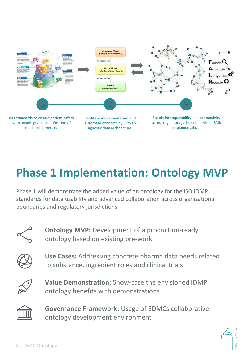

medicinal products.

agnostic data architecture.

**implementation**.

### **Phase 1 Implementation: Ontology MVP**

Phase 1 will demonstrate the added value of an ontology for the ISO IDMP standards for data usability and advanced collaboration across organizational boundaries and regulatory jurisdictions.



**Ontology MVP:** Development of a production-ready ontology based on existing pre-work



**Use Cases:** Addressing concrete pharma data needs related to substance, ingredient roles and clinical trials



**Value Demonstration:** Show-case the envisioned IDMP ontology benefits with demonstrations



**Governance Framework:** Usage of EDMCs collaborative ontology development environment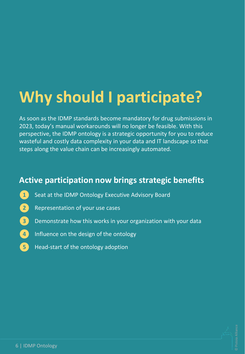## **Why should I participate?**

As soon as the IDMP standards become mandatory for drug submissions in 2023, today's manual workarounds will no longer be feasible. With this perspective, the IDMP ontology is a strategic opportunity for you to reduce wasteful and costly data complexity in your data and IT landscape so that steps along the value chain can be increasingly automated.

#### **Active participation now brings strategic benefits**

- Seat at the IDMP Ontology Executive Advisory Board **1**
- Representation of your use cases **2**
- Demonstrate how this works in your organization with your data **3**
- Influence on the design of the ontology **4**
- Head-start of the ontology adoption **5**

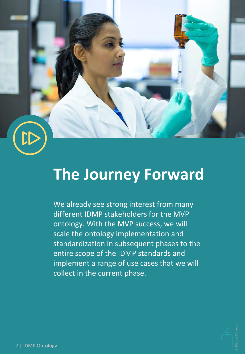

### **The Journey Forward**

We already see strong interest from many different IDMP stakeholders for the MVP ontology. With the MVP success, we will scale the ontology implementation and standardization in subsequent phases to the entire scope of the IDMP standards and implement a range of use cases that we will collect in the current phase.